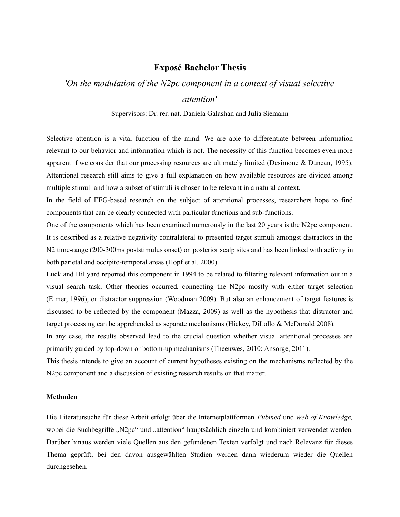## **Exposé Bachelor Thesis**

## *'On the modulation of the N2pc component in a context of visual selective attention'*

Supervisors: Dr. rer. nat. Daniela Galashan and Julia Siemann

Selective attention is a vital function of the mind. We are able to differentiate between information relevant to our behavior and information which is not. The necessity of this function becomes even more apparent if we consider that our processing resources are ultimately limited (Desimone & Duncan, 1995). Attentional research still aims to give a full explanation on how available resources are divided among multiple stimuli and how a subset of stimuli is chosen to be relevant in a natural context.

In the field of EEG-based research on the subject of attentional processes, researchers hope to find components that can be clearly connected with particular functions and sub-functions.

One of the components which has been examined numerously in the last 20 years is the N2pc component. It is described as a relative negativity contralateral to presented target stimuli amongst distractors in the N2 time-range (200-300ms poststimulus onset) on posterior scalp sites and has been linked with activity in both parietal and occipito-temporal areas (Hopf et al. 2000).

Luck and Hillyard reported this component in 1994 to be related to filtering relevant information out in a visual search task. Other theories occurred, connecting the N2pc mostly with either target selection (Eimer, 1996), or distractor suppression (Woodman 2009). But also an enhancement of target features is discussed to be reflected by the component (Mazza, 2009) as well as the hypothesis that distractor and target processing can be apprehended as separate mechanisms (Hickey, DiLollo & McDonald 2008).

In any case, the results observed lead to the crucial question whether visual attentional processes are primarily guided by top-down or bottom-up mechanisms (Theeuwes, 2010; Ansorge, 2011).

This thesis intends to give an account of current hypotheses existing on the mechanisms reflected by the N2pc component and a discussion of existing research results on that matter.

## **Methoden**

Die Literatursuche für diese Arbeit erfolgt über die Internetplattformen *Pubmed* und *Web of Knowledge,* wobei die Suchbegriffe "N2pc" und "attention" hauptsächlich einzeln und kombiniert verwendet werden. Darüber hinaus werden viele Quellen aus den gefundenen Texten verfolgt und nach Relevanz für dieses Thema geprüft, bei den davon ausgewählten Studien werden dann wiederum wieder die Quellen durchgesehen.